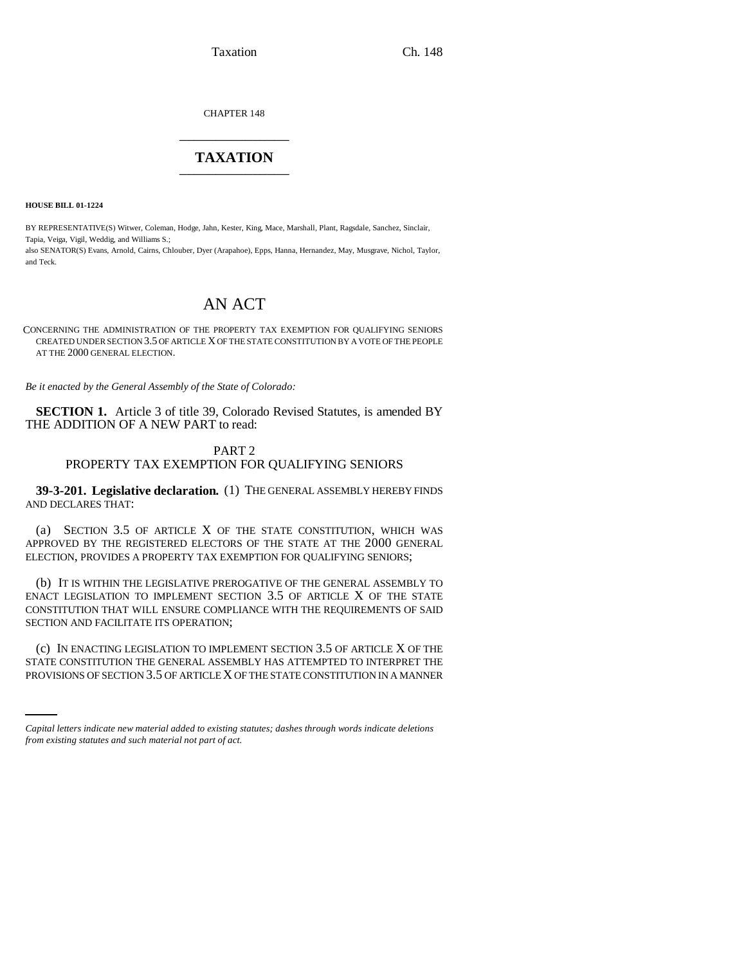CHAPTER 148 \_\_\_\_\_\_\_\_\_\_\_\_\_\_\_

# **TAXATION** \_\_\_\_\_\_\_\_\_\_\_\_\_\_\_

**HOUSE BILL 01-1224**

BY REPRESENTATIVE(S) Witwer, Coleman, Hodge, Jahn, Kester, King, Mace, Marshall, Plant, Ragsdale, Sanchez, Sinclair, Tapia, Veiga, Vigil, Weddig, and Williams S.;

also SENATOR(S) Evans, Arnold, Cairns, Chlouber, Dyer (Arapahoe), Epps, Hanna, Hernandez, May, Musgrave, Nichol, Taylor, and Teck.

# AN ACT

CONCERNING THE ADMINISTRATION OF THE PROPERTY TAX EXEMPTION FOR QUALIFYING SENIORS CREATED UNDER SECTION 3.5 OF ARTICLE X OF THE STATE CONSTITUTION BY A VOTE OF THE PEOPLE AT THE 2000 GENERAL ELECTION.

*Be it enacted by the General Assembly of the State of Colorado:*

**SECTION 1.** Article 3 of title 39, Colorado Revised Statutes, is amended BY THE ADDITION OF A NEW PART to read:

## PART 2

# PROPERTY TAX EXEMPTION FOR QUALIFYING SENIORS

**39-3-201. Legislative declaration.** (1) THE GENERAL ASSEMBLY HEREBY FINDS AND DECLARES THAT:

(a) SECTION 3.5 OF ARTICLE X OF THE STATE CONSTITUTION, WHICH WAS APPROVED BY THE REGISTERED ELECTORS OF THE STATE AT THE 2000 GENERAL ELECTION, PROVIDES A PROPERTY TAX EXEMPTION FOR QUALIFYING SENIORS;

(b) IT IS WITHIN THE LEGISLATIVE PREROGATIVE OF THE GENERAL ASSEMBLY TO ENACT LEGISLATION TO IMPLEMENT SECTION 3.5 OF ARTICLE X OF THE STATE CONSTITUTION THAT WILL ENSURE COMPLIANCE WITH THE REQUIREMENTS OF SAID SECTION AND FACILITATE ITS OPERATION;

(c) IN ENACTING LEGISLATION TO IMPLEMENT SECTION 3.5 OF ARTICLE X OF THE STATE CONSTITUTION THE GENERAL ASSEMBLY HAS ATTEMPTED TO INTERPRET THE PROVISIONS OF SECTION 3.5 OF ARTICLE X OF THE STATE CONSTITUTION IN A MANNER

*Capital letters indicate new material added to existing statutes; dashes through words indicate deletions from existing statutes and such material not part of act.*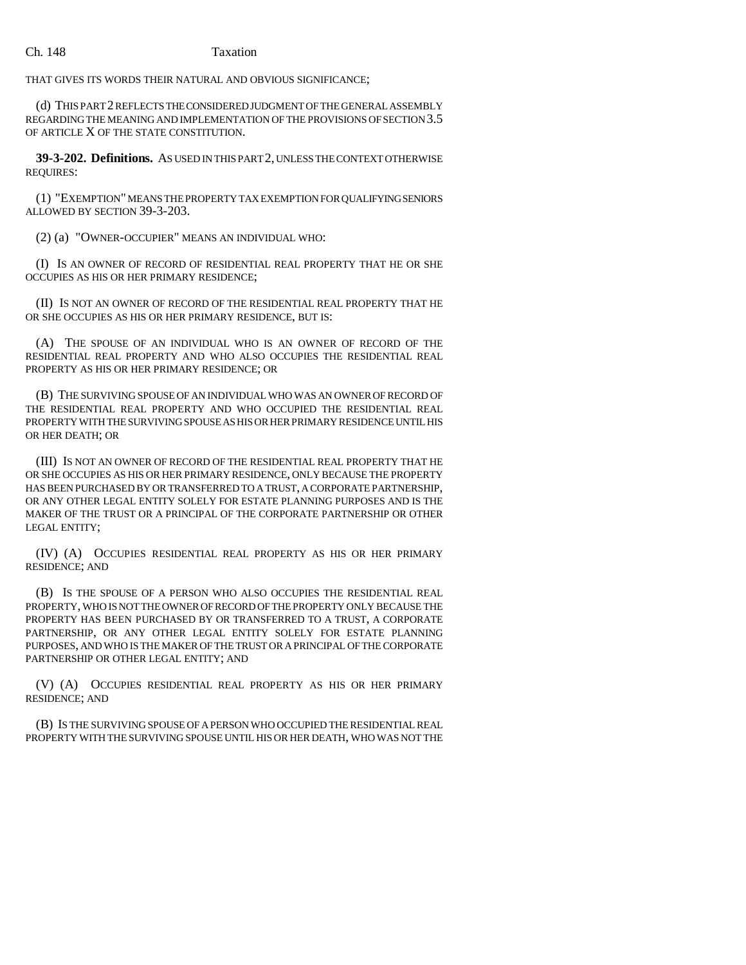#### Ch. 148 Taxation

THAT GIVES ITS WORDS THEIR NATURAL AND OBVIOUS SIGNIFICANCE;

(d) THIS PART 2 REFLECTS THE CONSIDERED JUDGMENT OF THE GENERAL ASSEMBLY REGARDING THE MEANING AND IMPLEMENTATION OF THE PROVISIONS OF SECTION 3.5 OF ARTICLE X OF THE STATE CONSTITUTION.

**39-3-202. Definitions.** AS USED IN THIS PART 2, UNLESS THE CONTEXT OTHERWISE REQUIRES:

(1) "EXEMPTION" MEANS THE PROPERTY TAX EXEMPTION FOR QUALIFYING SENIORS ALLOWED BY SECTION 39-3-203.

(2) (a) "OWNER-OCCUPIER" MEANS AN INDIVIDUAL WHO:

(I) IS AN OWNER OF RECORD OF RESIDENTIAL REAL PROPERTY THAT HE OR SHE OCCUPIES AS HIS OR HER PRIMARY RESIDENCE;

(II) IS NOT AN OWNER OF RECORD OF THE RESIDENTIAL REAL PROPERTY THAT HE OR SHE OCCUPIES AS HIS OR HER PRIMARY RESIDENCE, BUT IS:

(A) THE SPOUSE OF AN INDIVIDUAL WHO IS AN OWNER OF RECORD OF THE RESIDENTIAL REAL PROPERTY AND WHO ALSO OCCUPIES THE RESIDENTIAL REAL PROPERTY AS HIS OR HER PRIMARY RESIDENCE; OR

(B) THE SURVIVING SPOUSE OF AN INDIVIDUAL WHO WAS AN OWNER OF RECORD OF THE RESIDENTIAL REAL PROPERTY AND WHO OCCUPIED THE RESIDENTIAL REAL PROPERTY WITH THE SURVIVING SPOUSE AS HIS OR HER PRIMARY RESIDENCE UNTIL HIS OR HER DEATH; OR

(III) IS NOT AN OWNER OF RECORD OF THE RESIDENTIAL REAL PROPERTY THAT HE OR SHE OCCUPIES AS HIS OR HER PRIMARY RESIDENCE, ONLY BECAUSE THE PROPERTY HAS BEEN PURCHASED BY OR TRANSFERRED TO A TRUST, A CORPORATE PARTNERSHIP, OR ANY OTHER LEGAL ENTITY SOLELY FOR ESTATE PLANNING PURPOSES AND IS THE MAKER OF THE TRUST OR A PRINCIPAL OF THE CORPORATE PARTNERSHIP OR OTHER LEGAL ENTITY;

(IV) (A) OCCUPIES RESIDENTIAL REAL PROPERTY AS HIS OR HER PRIMARY RESIDENCE; AND

(B) IS THE SPOUSE OF A PERSON WHO ALSO OCCUPIES THE RESIDENTIAL REAL PROPERTY, WHO IS NOT THE OWNER OF RECORD OF THE PROPERTY ONLY BECAUSE THE PROPERTY HAS BEEN PURCHASED BY OR TRANSFERRED TO A TRUST, A CORPORATE PARTNERSHIP, OR ANY OTHER LEGAL ENTITY SOLELY FOR ESTATE PLANNING PURPOSES, AND WHO IS THE MAKER OF THE TRUST OR A PRINCIPAL OF THE CORPORATE PARTNERSHIP OR OTHER LEGAL ENTITY; AND

(V) (A) OCCUPIES RESIDENTIAL REAL PROPERTY AS HIS OR HER PRIMARY RESIDENCE; AND

(B) IS THE SURVIVING SPOUSE OF A PERSON WHO OCCUPIED THE RESIDENTIAL REAL PROPERTY WITH THE SURVIVING SPOUSE UNTIL HIS OR HER DEATH, WHO WAS NOT THE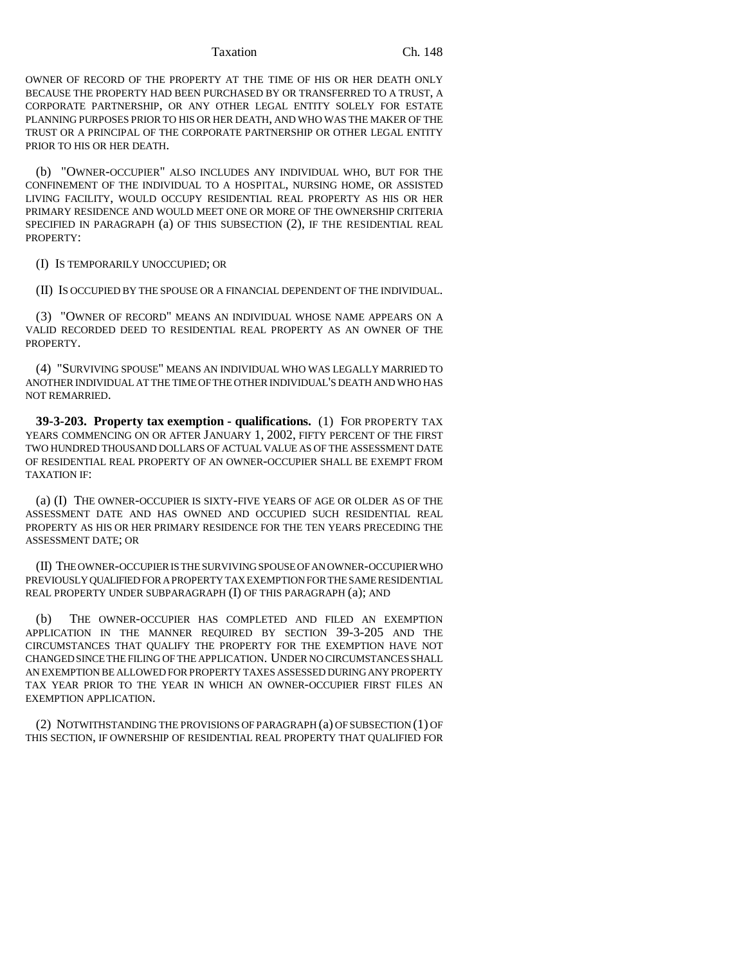OWNER OF RECORD OF THE PROPERTY AT THE TIME OF HIS OR HER DEATH ONLY BECAUSE THE PROPERTY HAD BEEN PURCHASED BY OR TRANSFERRED TO A TRUST, A CORPORATE PARTNERSHIP, OR ANY OTHER LEGAL ENTITY SOLELY FOR ESTATE PLANNING PURPOSES PRIOR TO HIS OR HER DEATH, AND WHO WAS THE MAKER OF THE TRUST OR A PRINCIPAL OF THE CORPORATE PARTNERSHIP OR OTHER LEGAL ENTITY PRIOR TO HIS OR HER DEATH.

(b) "OWNER-OCCUPIER" ALSO INCLUDES ANY INDIVIDUAL WHO, BUT FOR THE CONFINEMENT OF THE INDIVIDUAL TO A HOSPITAL, NURSING HOME, OR ASSISTED LIVING FACILITY, WOULD OCCUPY RESIDENTIAL REAL PROPERTY AS HIS OR HER PRIMARY RESIDENCE AND WOULD MEET ONE OR MORE OF THE OWNERSHIP CRITERIA SPECIFIED IN PARAGRAPH (a) OF THIS SUBSECTION (2), IF THE RESIDENTIAL REAL PROPERTY:

(I) IS TEMPORARILY UNOCCUPIED; OR

(II) IS OCCUPIED BY THE SPOUSE OR A FINANCIAL DEPENDENT OF THE INDIVIDUAL.

(3) "OWNER OF RECORD" MEANS AN INDIVIDUAL WHOSE NAME APPEARS ON A VALID RECORDED DEED TO RESIDENTIAL REAL PROPERTY AS AN OWNER OF THE PROPERTY.

(4) "SURVIVING SPOUSE" MEANS AN INDIVIDUAL WHO WAS LEGALLY MARRIED TO ANOTHER INDIVIDUAL AT THE TIME OF THE OTHER INDIVIDUAL'S DEATH AND WHO HAS NOT REMARRIED.

**39-3-203. Property tax exemption - qualifications.** (1) FOR PROPERTY TAX YEARS COMMENCING ON OR AFTER JANUARY 1, 2002, FIFTY PERCENT OF THE FIRST TWO HUNDRED THOUSAND DOLLARS OF ACTUAL VALUE AS OF THE ASSESSMENT DATE OF RESIDENTIAL REAL PROPERTY OF AN OWNER-OCCUPIER SHALL BE EXEMPT FROM TAXATION IF:

(a) (I) THE OWNER-OCCUPIER IS SIXTY-FIVE YEARS OF AGE OR OLDER AS OF THE ASSESSMENT DATE AND HAS OWNED AND OCCUPIED SUCH RESIDENTIAL REAL PROPERTY AS HIS OR HER PRIMARY RESIDENCE FOR THE TEN YEARS PRECEDING THE ASSESSMENT DATE; OR

(II) THE OWNER-OCCUPIER IS THE SURVIVING SPOUSE OF AN OWNER-OCCUPIER WHO PREVIOUSLY QUALIFIED FOR A PROPERTY TAX EXEMPTION FOR THE SAME RESIDENTIAL REAL PROPERTY UNDER SUBPARAGRAPH (I) OF THIS PARAGRAPH (a); AND

(b) THE OWNER-OCCUPIER HAS COMPLETED AND FILED AN EXEMPTION APPLICATION IN THE MANNER REQUIRED BY SECTION 39-3-205 AND THE CIRCUMSTANCES THAT QUALIFY THE PROPERTY FOR THE EXEMPTION HAVE NOT CHANGED SINCE THE FILING OF THE APPLICATION. UNDER NO CIRCUMSTANCES SHALL AN EXEMPTION BE ALLOWED FOR PROPERTY TAXES ASSESSED DURING ANY PROPERTY TAX YEAR PRIOR TO THE YEAR IN WHICH AN OWNER-OCCUPIER FIRST FILES AN EXEMPTION APPLICATION.

(2) NOTWITHSTANDING THE PROVISIONS OF PARAGRAPH (a) OF SUBSECTION (1) OF THIS SECTION, IF OWNERSHIP OF RESIDENTIAL REAL PROPERTY THAT QUALIFIED FOR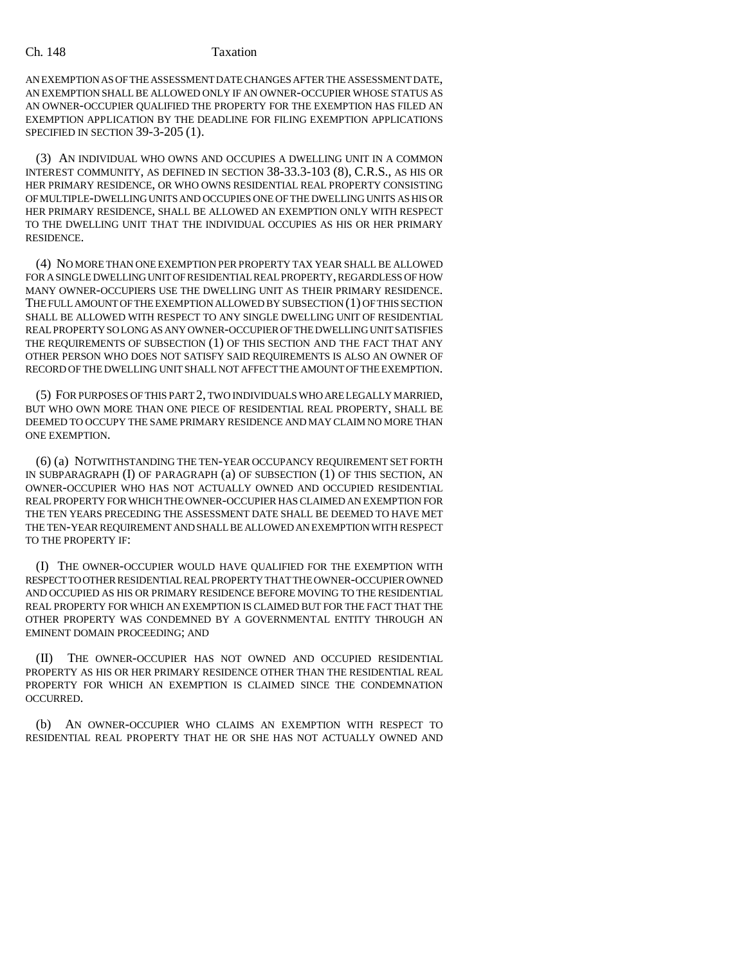AN EXEMPTION AS OF THE ASSESSMENT DATE CHANGES AFTER THE ASSESSMENT DATE, AN EXEMPTION SHALL BE ALLOWED ONLY IF AN OWNER-OCCUPIER WHOSE STATUS AS AN OWNER-OCCUPIER QUALIFIED THE PROPERTY FOR THE EXEMPTION HAS FILED AN EXEMPTION APPLICATION BY THE DEADLINE FOR FILING EXEMPTION APPLICATIONS SPECIFIED IN SECTION 39-3-205 (1).

(3) AN INDIVIDUAL WHO OWNS AND OCCUPIES A DWELLING UNIT IN A COMMON INTEREST COMMUNITY, AS DEFINED IN SECTION 38-33.3-103 (8), C.R.S., AS HIS OR HER PRIMARY RESIDENCE, OR WHO OWNS RESIDENTIAL REAL PROPERTY CONSISTING OF MULTIPLE-DWELLING UNITS AND OCCUPIES ONE OF THE DWELLING UNITS AS HIS OR HER PRIMARY RESIDENCE, SHALL BE ALLOWED AN EXEMPTION ONLY WITH RESPECT TO THE DWELLING UNIT THAT THE INDIVIDUAL OCCUPIES AS HIS OR HER PRIMARY RESIDENCE.

(4) NO MORE THAN ONE EXEMPTION PER PROPERTY TAX YEAR SHALL BE ALLOWED FOR A SINGLE DWELLING UNIT OF RESIDENTIAL REAL PROPERTY, REGARDLESS OF HOW MANY OWNER-OCCUPIERS USE THE DWELLING UNIT AS THEIR PRIMARY RESIDENCE. THE FULL AMOUNT OF THE EXEMPTION ALLOWED BY SUBSECTION (1) OF THIS SECTION SHALL BE ALLOWED WITH RESPECT TO ANY SINGLE DWELLING UNIT OF RESIDENTIAL REAL PROPERTY SO LONG AS ANY OWNER-OCCUPIER OF THE DWELLING UNIT SATISFIES THE REQUIREMENTS OF SUBSECTION (1) OF THIS SECTION AND THE FACT THAT ANY OTHER PERSON WHO DOES NOT SATISFY SAID REQUIREMENTS IS ALSO AN OWNER OF RECORD OF THE DWELLING UNIT SHALL NOT AFFECT THE AMOUNT OF THE EXEMPTION.

(5) FOR PURPOSES OF THIS PART 2, TWO INDIVIDUALS WHO ARE LEGALLY MARRIED, BUT WHO OWN MORE THAN ONE PIECE OF RESIDENTIAL REAL PROPERTY, SHALL BE DEEMED TO OCCUPY THE SAME PRIMARY RESIDENCE AND MAY CLAIM NO MORE THAN ONE EXEMPTION.

(6) (a) NOTWITHSTANDING THE TEN-YEAR OCCUPANCY REQUIREMENT SET FORTH IN SUBPARAGRAPH (I) OF PARAGRAPH (a) OF SUBSECTION (1) OF THIS SECTION, AN OWNER-OCCUPIER WHO HAS NOT ACTUALLY OWNED AND OCCUPIED RESIDENTIAL REAL PROPERTY FOR WHICH THE OWNER-OCCUPIER HAS CLAIMED AN EXEMPTION FOR THE TEN YEARS PRECEDING THE ASSESSMENT DATE SHALL BE DEEMED TO HAVE MET THE TEN-YEAR REQUIREMENT AND SHALL BE ALLOWED AN EXEMPTION WITH RESPECT TO THE PROPERTY IF:

(I) THE OWNER-OCCUPIER WOULD HAVE QUALIFIED FOR THE EXEMPTION WITH RESPECT TO OTHER RESIDENTIAL REAL PROPERTY THAT THE OWNER-OCCUPIER OWNED AND OCCUPIED AS HIS OR PRIMARY RESIDENCE BEFORE MOVING TO THE RESIDENTIAL REAL PROPERTY FOR WHICH AN EXEMPTION IS CLAIMED BUT FOR THE FACT THAT THE OTHER PROPERTY WAS CONDEMNED BY A GOVERNMENTAL ENTITY THROUGH AN EMINENT DOMAIN PROCEEDING; AND

(II) THE OWNER-OCCUPIER HAS NOT OWNED AND OCCUPIED RESIDENTIAL PROPERTY AS HIS OR HER PRIMARY RESIDENCE OTHER THAN THE RESIDENTIAL REAL PROPERTY FOR WHICH AN EXEMPTION IS CLAIMED SINCE THE CONDEMNATION OCCURRED.

(b) AN OWNER-OCCUPIER WHO CLAIMS AN EXEMPTION WITH RESPECT TO RESIDENTIAL REAL PROPERTY THAT HE OR SHE HAS NOT ACTUALLY OWNED AND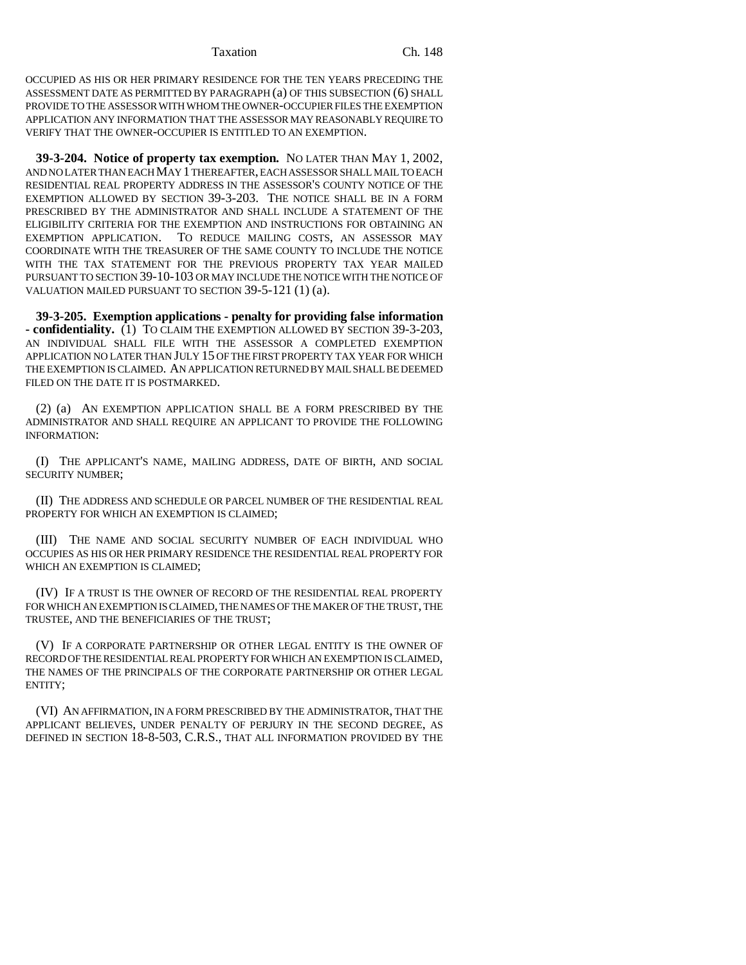OCCUPIED AS HIS OR HER PRIMARY RESIDENCE FOR THE TEN YEARS PRECEDING THE ASSESSMENT DATE AS PERMITTED BY PARAGRAPH (a) OF THIS SUBSECTION (6) SHALL PROVIDE TO THE ASSESSOR WITH WHOM THE OWNER-OCCUPIER FILES THE EXEMPTION APPLICATION ANY INFORMATION THAT THE ASSESSOR MAY REASONABLY REQUIRE TO VERIFY THAT THE OWNER-OCCUPIER IS ENTITLED TO AN EXEMPTION.

**39-3-204. Notice of property tax exemption.** NO LATER THAN MAY 1, 2002, AND NO LATER THAN EACH MAY 1 THEREAFTER, EACH ASSESSOR SHALL MAIL TO EACH RESIDENTIAL REAL PROPERTY ADDRESS IN THE ASSESSOR'S COUNTY NOTICE OF THE EXEMPTION ALLOWED BY SECTION 39-3-203. THE NOTICE SHALL BE IN A FORM PRESCRIBED BY THE ADMINISTRATOR AND SHALL INCLUDE A STATEMENT OF THE ELIGIBILITY CRITERIA FOR THE EXEMPTION AND INSTRUCTIONS FOR OBTAINING AN EXEMPTION APPLICATION. TO REDUCE MAILING COSTS, AN ASSESSOR MAY COORDINATE WITH THE TREASURER OF THE SAME COUNTY TO INCLUDE THE NOTICE WITH THE TAX STATEMENT FOR THE PREVIOUS PROPERTY TAX YEAR MAILED PURSUANT TO SECTION 39-10-103 OR MAY INCLUDE THE NOTICE WITH THE NOTICE OF VALUATION MAILED PURSUANT TO SECTION 39-5-121 (1) (a).

**39-3-205. Exemption applications - penalty for providing false information - confidentiality.** (1) TO CLAIM THE EXEMPTION ALLOWED BY SECTION 39-3-203, AN INDIVIDUAL SHALL FILE WITH THE ASSESSOR A COMPLETED EXEMPTION APPLICATION NO LATER THAN JULY 15 OF THE FIRST PROPERTY TAX YEAR FOR WHICH THE EXEMPTION IS CLAIMED. AN APPLICATION RETURNED BY MAIL SHALL BE DEEMED FILED ON THE DATE IT IS POSTMARKED.

(2) (a) AN EXEMPTION APPLICATION SHALL BE A FORM PRESCRIBED BY THE ADMINISTRATOR AND SHALL REQUIRE AN APPLICANT TO PROVIDE THE FOLLOWING INFORMATION:

(I) THE APPLICANT'S NAME, MAILING ADDRESS, DATE OF BIRTH, AND SOCIAL SECURITY NUMBER;

(II) THE ADDRESS AND SCHEDULE OR PARCEL NUMBER OF THE RESIDENTIAL REAL PROPERTY FOR WHICH AN EXEMPTION IS CLAIMED;

(III) THE NAME AND SOCIAL SECURITY NUMBER OF EACH INDIVIDUAL WHO OCCUPIES AS HIS OR HER PRIMARY RESIDENCE THE RESIDENTIAL REAL PROPERTY FOR WHICH AN EXEMPTION IS CLAIMED:

(IV) IF A TRUST IS THE OWNER OF RECORD OF THE RESIDENTIAL REAL PROPERTY FOR WHICH AN EXEMPTION IS CLAIMED, THE NAMES OF THE MAKER OF THE TRUST, THE TRUSTEE, AND THE BENEFICIARIES OF THE TRUST;

(V) IF A CORPORATE PARTNERSHIP OR OTHER LEGAL ENTITY IS THE OWNER OF RECORD OF THE RESIDENTIAL REAL PROPERTY FOR WHICH AN EXEMPTION IS CLAIMED, THE NAMES OF THE PRINCIPALS OF THE CORPORATE PARTNERSHIP OR OTHER LEGAL ENTITY;

(VI) AN AFFIRMATION, IN A FORM PRESCRIBED BY THE ADMINISTRATOR, THAT THE APPLICANT BELIEVES, UNDER PENALTY OF PERJURY IN THE SECOND DEGREE, AS DEFINED IN SECTION 18-8-503, C.R.S., THAT ALL INFORMATION PROVIDED BY THE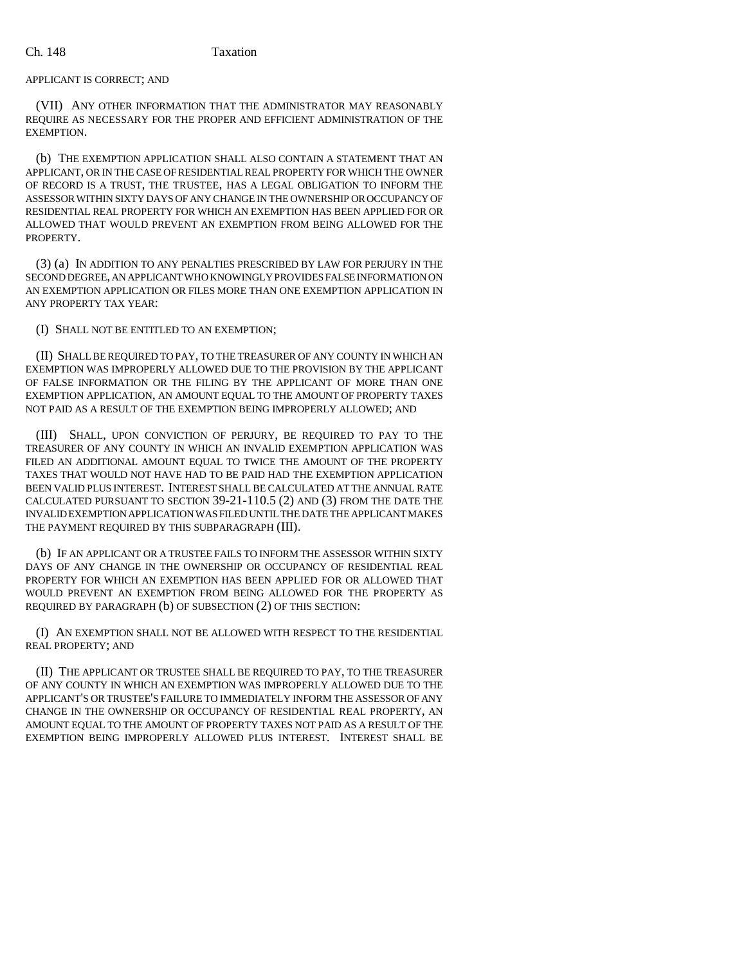# APPLICANT IS CORRECT; AND

(VII) ANY OTHER INFORMATION THAT THE ADMINISTRATOR MAY REASONABLY REQUIRE AS NECESSARY FOR THE PROPER AND EFFICIENT ADMINISTRATION OF THE EXEMPTION.

(b) THE EXEMPTION APPLICATION SHALL ALSO CONTAIN A STATEMENT THAT AN APPLICANT, OR IN THE CASE OF RESIDENTIAL REAL PROPERTY FOR WHICH THE OWNER OF RECORD IS A TRUST, THE TRUSTEE, HAS A LEGAL OBLIGATION TO INFORM THE ASSESSOR WITHIN SIXTY DAYS OF ANY CHANGE IN THE OWNERSHIP OR OCCUPANCY OF RESIDENTIAL REAL PROPERTY FOR WHICH AN EXEMPTION HAS BEEN APPLIED FOR OR ALLOWED THAT WOULD PREVENT AN EXEMPTION FROM BEING ALLOWED FOR THE PROPERTY.

(3) (a) IN ADDITION TO ANY PENALTIES PRESCRIBED BY LAW FOR PERJURY IN THE SECOND DEGREE, AN APPLICANT WHO KNOWINGLY PROVIDES FALSE INFORMATION ON AN EXEMPTION APPLICATION OR FILES MORE THAN ONE EXEMPTION APPLICATION IN ANY PROPERTY TAX YEAR:

# (I) SHALL NOT BE ENTITLED TO AN EXEMPTION;

(II) SHALL BE REQUIRED TO PAY, TO THE TREASURER OF ANY COUNTY IN WHICH AN EXEMPTION WAS IMPROPERLY ALLOWED DUE TO THE PROVISION BY THE APPLICANT OF FALSE INFORMATION OR THE FILING BY THE APPLICANT OF MORE THAN ONE EXEMPTION APPLICATION, AN AMOUNT EQUAL TO THE AMOUNT OF PROPERTY TAXES NOT PAID AS A RESULT OF THE EXEMPTION BEING IMPROPERLY ALLOWED; AND

(III) SHALL, UPON CONVICTION OF PERJURY, BE REQUIRED TO PAY TO THE TREASURER OF ANY COUNTY IN WHICH AN INVALID EXEMPTION APPLICATION WAS FILED AN ADDITIONAL AMOUNT EQUAL TO TWICE THE AMOUNT OF THE PROPERTY TAXES THAT WOULD NOT HAVE HAD TO BE PAID HAD THE EXEMPTION APPLICATION BEEN VALID PLUS INTEREST. INTEREST SHALL BE CALCULATED AT THE ANNUAL RATE CALCULATED PURSUANT TO SECTION 39-21-110.5 (2) AND (3) FROM THE DATE THE INVALID EXEMPTION APPLICATION WAS FILED UNTIL THE DATE THE APPLICANT MAKES THE PAYMENT REQUIRED BY THIS SUBPARAGRAPH (III).

(b) IF AN APPLICANT OR A TRUSTEE FAILS TO INFORM THE ASSESSOR WITHIN SIXTY DAYS OF ANY CHANGE IN THE OWNERSHIP OR OCCUPANCY OF RESIDENTIAL REAL PROPERTY FOR WHICH AN EXEMPTION HAS BEEN APPLIED FOR OR ALLOWED THAT WOULD PREVENT AN EXEMPTION FROM BEING ALLOWED FOR THE PROPERTY AS REQUIRED BY PARAGRAPH (b) OF SUBSECTION (2) OF THIS SECTION:

(I) AN EXEMPTION SHALL NOT BE ALLOWED WITH RESPECT TO THE RESIDENTIAL REAL PROPERTY; AND

(II) THE APPLICANT OR TRUSTEE SHALL BE REQUIRED TO PAY, TO THE TREASURER OF ANY COUNTY IN WHICH AN EXEMPTION WAS IMPROPERLY ALLOWED DUE TO THE APPLICANT'S OR TRUSTEE'S FAILURE TO IMMEDIATELY INFORM THE ASSESSOR OF ANY CHANGE IN THE OWNERSHIP OR OCCUPANCY OF RESIDENTIAL REAL PROPERTY, AN AMOUNT EQUAL TO THE AMOUNT OF PROPERTY TAXES NOT PAID AS A RESULT OF THE EXEMPTION BEING IMPROPERLY ALLOWED PLUS INTEREST. INTEREST SHALL BE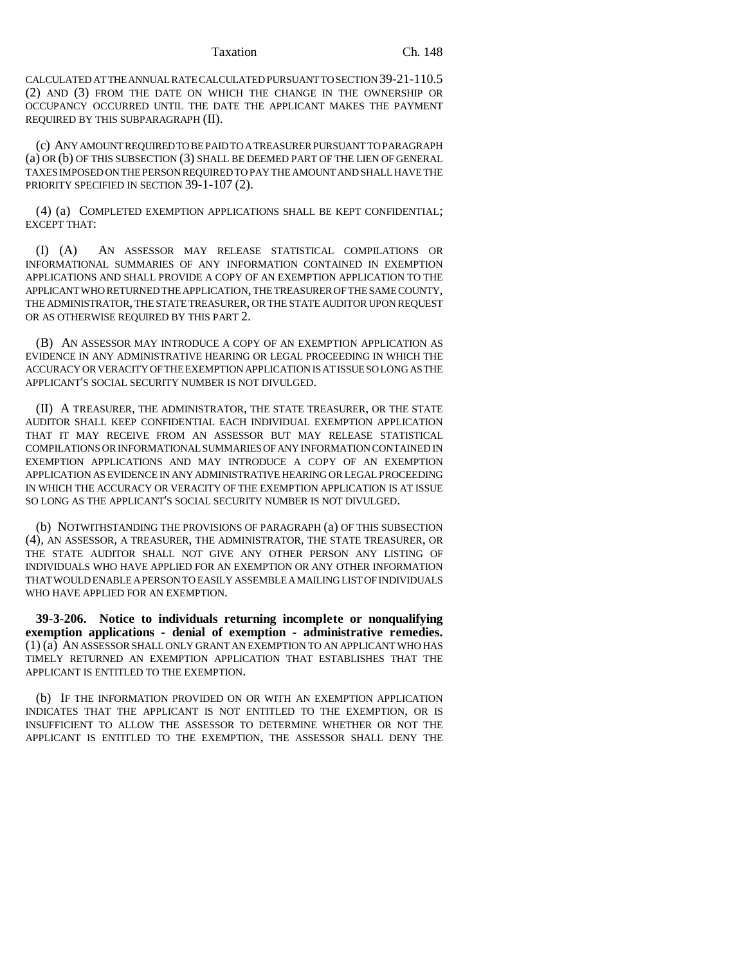CALCULATED AT THE ANNUAL RATE CALCULATED PURSUANT TO SECTION 39-21-110.5 (2) AND (3) FROM THE DATE ON WHICH THE CHANGE IN THE OWNERSHIP OR OCCUPANCY OCCURRED UNTIL THE DATE THE APPLICANT MAKES THE PAYMENT REQUIRED BY THIS SUBPARAGRAPH (II).

(c) ANY AMOUNT REQUIRED TO BE PAID TO A TREASURER PURSUANT TO PARAGRAPH (a) OR (b) OF THIS SUBSECTION (3) SHALL BE DEEMED PART OF THE LIEN OF GENERAL TAXES IMPOSED ON THE PERSON REQUIRED TO PAY THE AMOUNT AND SHALL HAVE THE PRIORITY SPECIFIED IN SECTION 39-1-107 (2).

(4) (a) COMPLETED EXEMPTION APPLICATIONS SHALL BE KEPT CONFIDENTIAL; EXCEPT THAT:

(I) (A) AN ASSESSOR MAY RELEASE STATISTICAL COMPILATIONS OR INFORMATIONAL SUMMARIES OF ANY INFORMATION CONTAINED IN EXEMPTION APPLICATIONS AND SHALL PROVIDE A COPY OF AN EXEMPTION APPLICATION TO THE APPLICANT WHO RETURNED THE APPLICATION, THE TREASURER OF THE SAME COUNTY, THE ADMINISTRATOR, THE STATE TREASURER, OR THE STATE AUDITOR UPON REQUEST OR AS OTHERWISE REQUIRED BY THIS PART 2.

(B) AN ASSESSOR MAY INTRODUCE A COPY OF AN EXEMPTION APPLICATION AS EVIDENCE IN ANY ADMINISTRATIVE HEARING OR LEGAL PROCEEDING IN WHICH THE ACCURACY OR VERACITY OF THE EXEMPTION APPLICATION IS AT ISSUE SO LONG AS THE APPLICANT'S SOCIAL SECURITY NUMBER IS NOT DIVULGED.

(II) A TREASURER, THE ADMINISTRATOR, THE STATE TREASURER, OR THE STATE AUDITOR SHALL KEEP CONFIDENTIAL EACH INDIVIDUAL EXEMPTION APPLICATION THAT IT MAY RECEIVE FROM AN ASSESSOR BUT MAY RELEASE STATISTICAL COMPILATIONS OR INFORMATIONAL SUMMARIES OF ANY INFORMATION CONTAINED IN EXEMPTION APPLICATIONS AND MAY INTRODUCE A COPY OF AN EXEMPTION APPLICATION AS EVIDENCE IN ANY ADMINISTRATIVE HEARING OR LEGAL PROCEEDING IN WHICH THE ACCURACY OR VERACITY OF THE EXEMPTION APPLICATION IS AT ISSUE SO LONG AS THE APPLICANT'S SOCIAL SECURITY NUMBER IS NOT DIVULGED.

(b) NOTWITHSTANDING THE PROVISIONS OF PARAGRAPH (a) OF THIS SUBSECTION (4), AN ASSESSOR, A TREASURER, THE ADMINISTRATOR, THE STATE TREASURER, OR THE STATE AUDITOR SHALL NOT GIVE ANY OTHER PERSON ANY LISTING OF INDIVIDUALS WHO HAVE APPLIED FOR AN EXEMPTION OR ANY OTHER INFORMATION THAT WOULD ENABLE A PERSON TO EASILY ASSEMBLE A MAILING LIST OF INDIVIDUALS WHO HAVE APPLIED FOR AN EXEMPTION.

**39-3-206. Notice to individuals returning incomplete or nonqualifying exemption applications - denial of exemption - administrative remedies.** (1) (a) AN ASSESSOR SHALL ONLY GRANT AN EXEMPTION TO AN APPLICANT WHO HAS TIMELY RETURNED AN EXEMPTION APPLICATION THAT ESTABLISHES THAT THE APPLICANT IS ENTITLED TO THE EXEMPTION.

(b) IF THE INFORMATION PROVIDED ON OR WITH AN EXEMPTION APPLICATION INDICATES THAT THE APPLICANT IS NOT ENTITLED TO THE EXEMPTION, OR IS INSUFFICIENT TO ALLOW THE ASSESSOR TO DETERMINE WHETHER OR NOT THE APPLICANT IS ENTITLED TO THE EXEMPTION, THE ASSESSOR SHALL DENY THE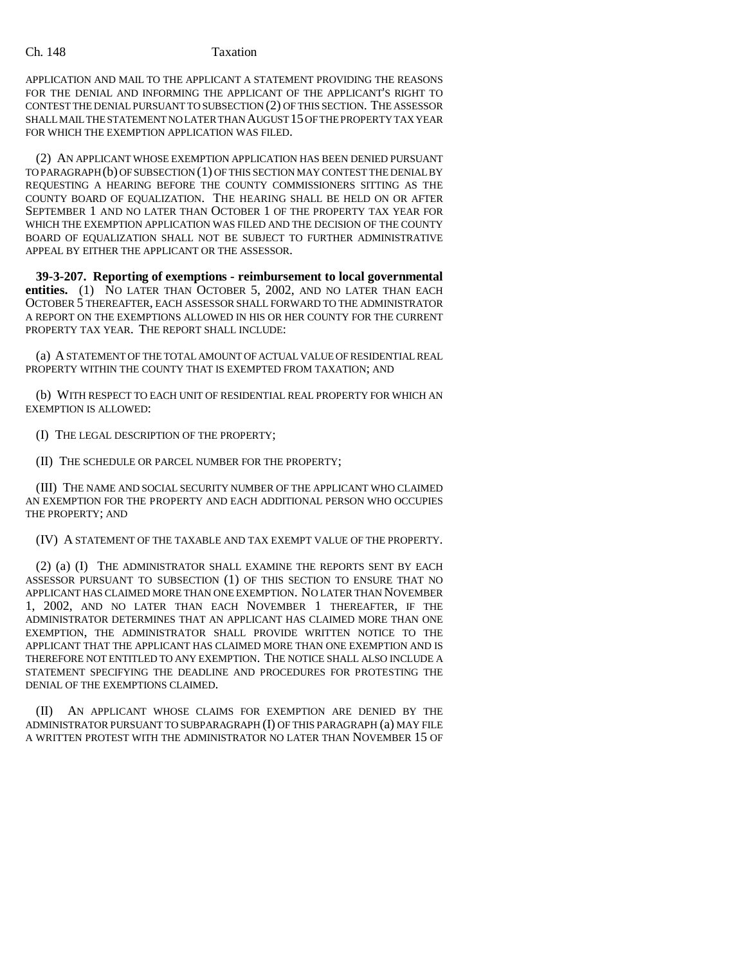### Ch. 148 Taxation

APPLICATION AND MAIL TO THE APPLICANT A STATEMENT PROVIDING THE REASONS FOR THE DENIAL AND INFORMING THE APPLICANT OF THE APPLICANT'S RIGHT TO CONTEST THE DENIAL PURSUANT TO SUBSECTION (2) OF THIS SECTION. THE ASSESSOR SHALL MAIL THE STATEMENT NO LATER THAN AUGUST 15 OF THE PROPERTY TAX YEAR FOR WHICH THE EXEMPTION APPLICATION WAS FILED.

(2) AN APPLICANT WHOSE EXEMPTION APPLICATION HAS BEEN DENIED PURSUANT TO PARAGRAPH (b) OF SUBSECTION (1) OF THIS SECTION MAY CONTEST THE DENIAL BY REQUESTING A HEARING BEFORE THE COUNTY COMMISSIONERS SITTING AS THE COUNTY BOARD OF EQUALIZATION. THE HEARING SHALL BE HELD ON OR AFTER SEPTEMBER 1 AND NO LATER THAN OCTOBER 1 OF THE PROPERTY TAX YEAR FOR WHICH THE EXEMPTION APPLICATION WAS FILED AND THE DECISION OF THE COUNTY BOARD OF EQUALIZATION SHALL NOT BE SUBJECT TO FURTHER ADMINISTRATIVE APPEAL BY EITHER THE APPLICANT OR THE ASSESSOR.

**39-3-207. Reporting of exemptions - reimbursement to local governmental entities.** (1) NO LATER THAN OCTOBER 5, 2002, AND NO LATER THAN EACH OCTOBER 5 THEREAFTER, EACH ASSESSOR SHALL FORWARD TO THE ADMINISTRATOR A REPORT ON THE EXEMPTIONS ALLOWED IN HIS OR HER COUNTY FOR THE CURRENT PROPERTY TAX YEAR. THE REPORT SHALL INCLUDE:

(a) A STATEMENT OF THE TOTAL AMOUNT OF ACTUAL VALUE OF RESIDENTIAL REAL PROPERTY WITHIN THE COUNTY THAT IS EXEMPTED FROM TAXATION; AND

(b) WITH RESPECT TO EACH UNIT OF RESIDENTIAL REAL PROPERTY FOR WHICH AN EXEMPTION IS ALLOWED:

(I) THE LEGAL DESCRIPTION OF THE PROPERTY;

(II) THE SCHEDULE OR PARCEL NUMBER FOR THE PROPERTY;

(III) THE NAME AND SOCIAL SECURITY NUMBER OF THE APPLICANT WHO CLAIMED AN EXEMPTION FOR THE PROPERTY AND EACH ADDITIONAL PERSON WHO OCCUPIES THE PROPERTY; AND

(IV) A STATEMENT OF THE TAXABLE AND TAX EXEMPT VALUE OF THE PROPERTY.

(2) (a) (I) THE ADMINISTRATOR SHALL EXAMINE THE REPORTS SENT BY EACH ASSESSOR PURSUANT TO SUBSECTION (1) OF THIS SECTION TO ENSURE THAT NO APPLICANT HAS CLAIMED MORE THAN ONE EXEMPTION. NO LATER THAN NOVEMBER 1, 2002, AND NO LATER THAN EACH NOVEMBER 1 THEREAFTER, IF THE ADMINISTRATOR DETERMINES THAT AN APPLICANT HAS CLAIMED MORE THAN ONE EXEMPTION, THE ADMINISTRATOR SHALL PROVIDE WRITTEN NOTICE TO THE APPLICANT THAT THE APPLICANT HAS CLAIMED MORE THAN ONE EXEMPTION AND IS THEREFORE NOT ENTITLED TO ANY EXEMPTION. THE NOTICE SHALL ALSO INCLUDE A STATEMENT SPECIFYING THE DEADLINE AND PROCEDURES FOR PROTESTING THE DENIAL OF THE EXEMPTIONS CLAIMED.

(II) AN APPLICANT WHOSE CLAIMS FOR EXEMPTION ARE DENIED BY THE ADMINISTRATOR PURSUANT TO SUBPARAGRAPH (I) OF THIS PARAGRAPH (a) MAY FILE A WRITTEN PROTEST WITH THE ADMINISTRATOR NO LATER THAN NOVEMBER 15 OF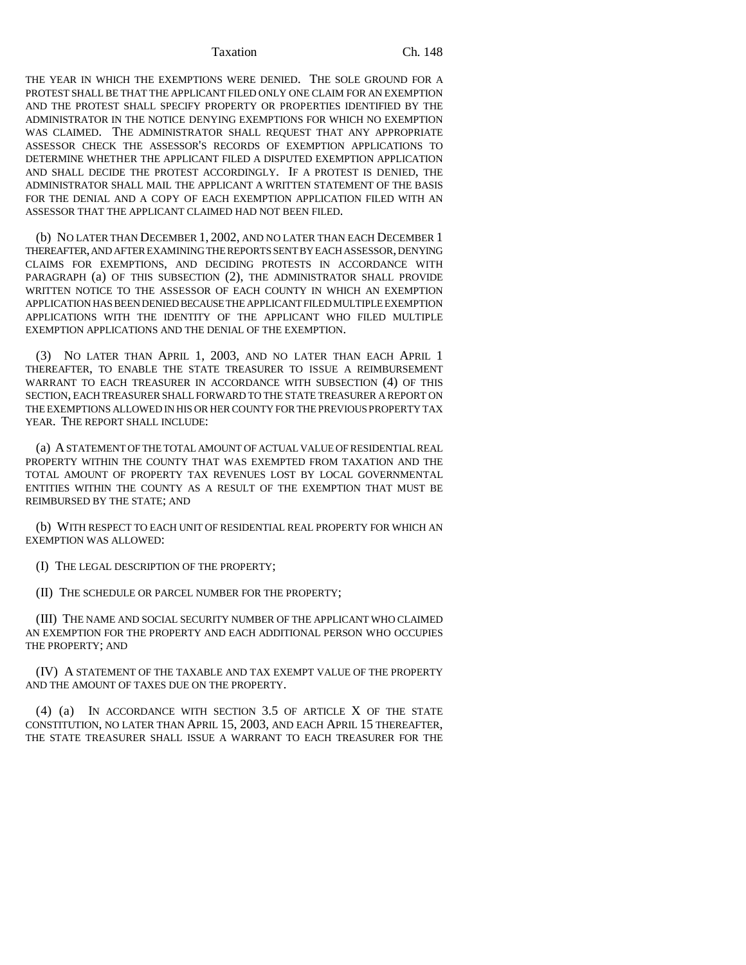THE YEAR IN WHICH THE EXEMPTIONS WERE DENIED. THE SOLE GROUND FOR A PROTEST SHALL BE THAT THE APPLICANT FILED ONLY ONE CLAIM FOR AN EXEMPTION AND THE PROTEST SHALL SPECIFY PROPERTY OR PROPERTIES IDENTIFIED BY THE ADMINISTRATOR IN THE NOTICE DENYING EXEMPTIONS FOR WHICH NO EXEMPTION WAS CLAIMED. THE ADMINISTRATOR SHALL REQUEST THAT ANY APPROPRIATE ASSESSOR CHECK THE ASSESSOR'S RECORDS OF EXEMPTION APPLICATIONS TO DETERMINE WHETHER THE APPLICANT FILED A DISPUTED EXEMPTION APPLICATION AND SHALL DECIDE THE PROTEST ACCORDINGLY. IF A PROTEST IS DENIED, THE ADMINISTRATOR SHALL MAIL THE APPLICANT A WRITTEN STATEMENT OF THE BASIS FOR THE DENIAL AND A COPY OF EACH EXEMPTION APPLICATION FILED WITH AN ASSESSOR THAT THE APPLICANT CLAIMED HAD NOT BEEN FILED.

(b) NO LATER THAN DECEMBER 1, 2002, AND NO LATER THAN EACH DECEMBER 1 THEREAFTER, AND AFTER EXAMINING THE REPORTS SENT BY EACH ASSESSOR, DENYING CLAIMS FOR EXEMPTIONS, AND DECIDING PROTESTS IN ACCORDANCE WITH PARAGRAPH (a) OF THIS SUBSECTION (2), THE ADMINISTRATOR SHALL PROVIDE WRITTEN NOTICE TO THE ASSESSOR OF EACH COUNTY IN WHICH AN EXEMPTION APPLICATION HAS BEEN DENIED BECAUSE THE APPLICANT FILED MULTIPLE EXEMPTION APPLICATIONS WITH THE IDENTITY OF THE APPLICANT WHO FILED MULTIPLE EXEMPTION APPLICATIONS AND THE DENIAL OF THE EXEMPTION.

(3) NO LATER THAN APRIL 1, 2003, AND NO LATER THAN EACH APRIL 1 THEREAFTER, TO ENABLE THE STATE TREASURER TO ISSUE A REIMBURSEMENT WARRANT TO EACH TREASURER IN ACCORDANCE WITH SUBSECTION (4) OF THIS SECTION, EACH TREASURER SHALL FORWARD TO THE STATE TREASURER A REPORT ON THE EXEMPTIONS ALLOWED IN HIS OR HER COUNTY FOR THE PREVIOUS PROPERTY TAX YEAR. THE REPORT SHALL INCLUDE:

(a) A STATEMENT OF THE TOTAL AMOUNT OF ACTUAL VALUE OF RESIDENTIAL REAL PROPERTY WITHIN THE COUNTY THAT WAS EXEMPTED FROM TAXATION AND THE TOTAL AMOUNT OF PROPERTY TAX REVENUES LOST BY LOCAL GOVERNMENTAL ENTITIES WITHIN THE COUNTY AS A RESULT OF THE EXEMPTION THAT MUST BE REIMBURSED BY THE STATE; AND

(b) WITH RESPECT TO EACH UNIT OF RESIDENTIAL REAL PROPERTY FOR WHICH AN EXEMPTION WAS ALLOWED:

(I) THE LEGAL DESCRIPTION OF THE PROPERTY;

(II) THE SCHEDULE OR PARCEL NUMBER FOR THE PROPERTY;

(III) THE NAME AND SOCIAL SECURITY NUMBER OF THE APPLICANT WHO CLAIMED AN EXEMPTION FOR THE PROPERTY AND EACH ADDITIONAL PERSON WHO OCCUPIES THE PROPERTY; AND

(IV) A STATEMENT OF THE TAXABLE AND TAX EXEMPT VALUE OF THE PROPERTY AND THE AMOUNT OF TAXES DUE ON THE PROPERTY.

(4) (a) IN ACCORDANCE WITH SECTION 3.5 OF ARTICLE X OF THE STATE CONSTITUTION, NO LATER THAN APRIL 15, 2003, AND EACH APRIL 15 THEREAFTER, THE STATE TREASURER SHALL ISSUE A WARRANT TO EACH TREASURER FOR THE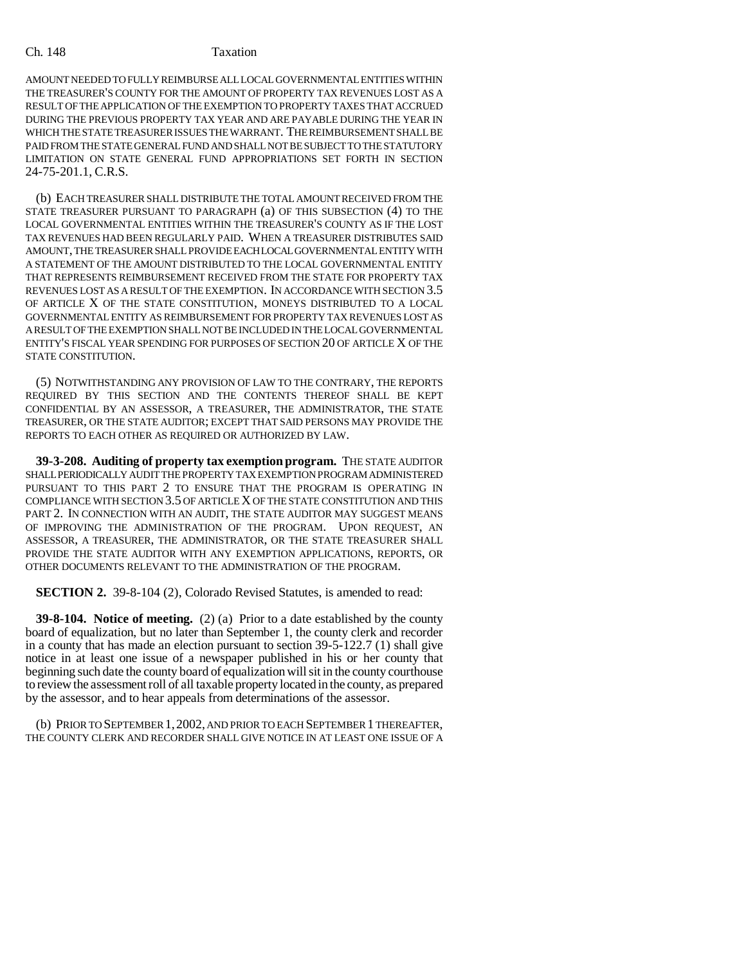### Ch. 148 Taxation

AMOUNT NEEDED TO FULLY REIMBURSE ALL LOCAL GOVERNMENTAL ENTITIES WITHIN THE TREASURER'S COUNTY FOR THE AMOUNT OF PROPERTY TAX REVENUES LOST AS A RESULT OF THE APPLICATION OF THE EXEMPTION TO PROPERTY TAXES THAT ACCRUED DURING THE PREVIOUS PROPERTY TAX YEAR AND ARE PAYABLE DURING THE YEAR IN WHICH THE STATE TREASURER ISSUES THE WARRANT. THE REIMBURSEMENT SHALL BE PAID FROM THE STATE GENERAL FUND AND SHALL NOT BE SUBJECT TO THE STATUTORY LIMITATION ON STATE GENERAL FUND APPROPRIATIONS SET FORTH IN SECTION 24-75-201.1, C.R.S.

(b) EACH TREASURER SHALL DISTRIBUTE THE TOTAL AMOUNT RECEIVED FROM THE STATE TREASURER PURSUANT TO PARAGRAPH (a) OF THIS SUBSECTION (4) TO THE LOCAL GOVERNMENTAL ENTITIES WITHIN THE TREASURER'S COUNTY AS IF THE LOST TAX REVENUES HAD BEEN REGULARLY PAID. WHEN A TREASURER DISTRIBUTES SAID AMOUNT, THE TREASURER SHALL PROVIDE EACH LOCAL GOVERNMENTAL ENTITY WITH A STATEMENT OF THE AMOUNT DISTRIBUTED TO THE LOCAL GOVERNMENTAL ENTITY THAT REPRESENTS REIMBURSEMENT RECEIVED FROM THE STATE FOR PROPERTY TAX REVENUES LOST AS A RESULT OF THE EXEMPTION. IN ACCORDANCE WITH SECTION 3.5 OF ARTICLE X OF THE STATE CONSTITUTION, MONEYS DISTRIBUTED TO A LOCAL GOVERNMENTAL ENTITY AS REIMBURSEMENT FOR PROPERTY TAX REVENUES LOST AS A RESULT OF THE EXEMPTION SHALL NOT BE INCLUDED IN THE LOCAL GOVERNMENTAL ENTITY'S FISCAL YEAR SPENDING FOR PURPOSES OF SECTION 20 OF ARTICLE X OF THE STATE CONSTITUTION.

(5) NOTWITHSTANDING ANY PROVISION OF LAW TO THE CONTRARY, THE REPORTS REQUIRED BY THIS SECTION AND THE CONTENTS THEREOF SHALL BE KEPT CONFIDENTIAL BY AN ASSESSOR, A TREASURER, THE ADMINISTRATOR, THE STATE TREASURER, OR THE STATE AUDITOR; EXCEPT THAT SAID PERSONS MAY PROVIDE THE REPORTS TO EACH OTHER AS REQUIRED OR AUTHORIZED BY LAW.

**39-3-208. Auditing of property tax exemption program.** THE STATE AUDITOR SHALL PERIODICALLY AUDIT THE PROPERTY TAX EXEMPTION PROGRAM ADMINISTERED PURSUANT TO THIS PART 2 TO ENSURE THAT THE PROGRAM IS OPERATING IN COMPLIANCE WITH SECTION 3.5 OF ARTICLE X OF THE STATE CONSTITUTION AND THIS PART 2. IN CONNECTION WITH AN AUDIT, THE STATE AUDITOR MAY SUGGEST MEANS OF IMPROVING THE ADMINISTRATION OF THE PROGRAM. UPON REQUEST, AN ASSESSOR, A TREASURER, THE ADMINISTRATOR, OR THE STATE TREASURER SHALL PROVIDE THE STATE AUDITOR WITH ANY EXEMPTION APPLICATIONS, REPORTS, OR OTHER DOCUMENTS RELEVANT TO THE ADMINISTRATION OF THE PROGRAM.

**SECTION 2.** 39-8-104 (2), Colorado Revised Statutes, is amended to read:

**39-8-104. Notice of meeting.** (2) (a) Prior to a date established by the county board of equalization, but no later than September 1, the county clerk and recorder in a county that has made an election pursuant to section 39-5-122.7 (1) shall give notice in at least one issue of a newspaper published in his or her county that beginning such date the county board of equalization will sit in the county courthouse to review the assessment roll of all taxable property located in the county, as prepared by the assessor, and to hear appeals from determinations of the assessor.

(b) PRIOR TO SEPTEMBER 1,2002, AND PRIOR TO EACH SEPTEMBER 1 THEREAFTER, THE COUNTY CLERK AND RECORDER SHALL GIVE NOTICE IN AT LEAST ONE ISSUE OF A